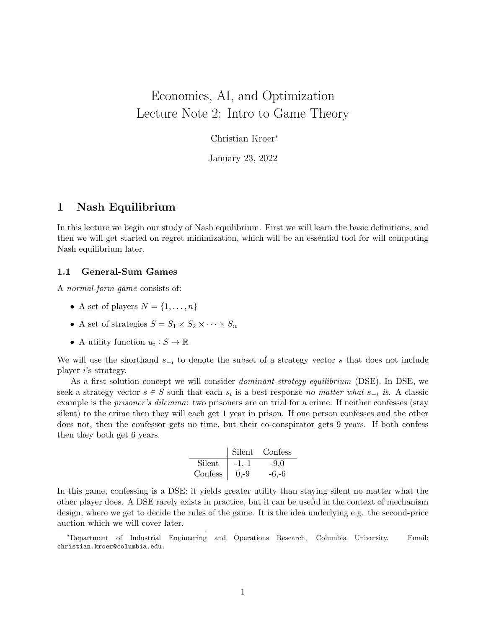# <span id="page-0-0"></span>Economics, AI, and Optimization Lecture Note 2: Intro to Game Theory

Christian Kroer<sup>∗</sup>

January 23, 2022

## 1 Nash Equilibrium

In this lecture we begin our study of Nash equilibrium. First we will learn the basic definitions, and then we will get started on regret minimization, which will be an essential tool for will computing Nash equilibrium later.

#### 1.1 General-Sum Games

A normal-form game consists of:

- A set of players  $N = \{1, \ldots, n\}$
- A set of strategies  $S = S_1 \times S_2 \times \cdots \times S_n$
- A utility function  $u_i: S \to \mathbb{R}$

We will use the shorthand  $s_{-i}$  to denote the subset of a strategy vector s that does not include player i's strategy.

As a first solution concept we will consider *dominant-strategy equilibrium* (DSE). In DSE, we seek a strategy vector  $s \in S$  such that each  $s_i$  is a best response no matter what  $s_{-i}$  is. A classic example is the *prisoner's dilemma*: two prisoners are on trial for a crime. If neither confesses (stay silent) to the crime then they will each get 1 year in prison. If one person confesses and the other does not, then the confessor gets no time, but their co-conspirator gets 9 years. If both confess then they both get 6 years.

|         | Silent  | Confess |
|---------|---------|---------|
| Silent  | $-1,-1$ | $-9.0$  |
| Confess | $0,-9$  | $-6,-6$ |

In this game, confessing is a DSE: it yields greater utility than staying silent no matter what the other player does. A DSE rarely exists in practice, but it can be useful in the context of mechanism design, where we get to decide the rules of the game. It is the idea underlying e.g. the second-price auction which we will cover later.

<sup>∗</sup>Department of Industrial Engineering and Operations Research, Columbia University. Email: christian.kroer@columbia.edu.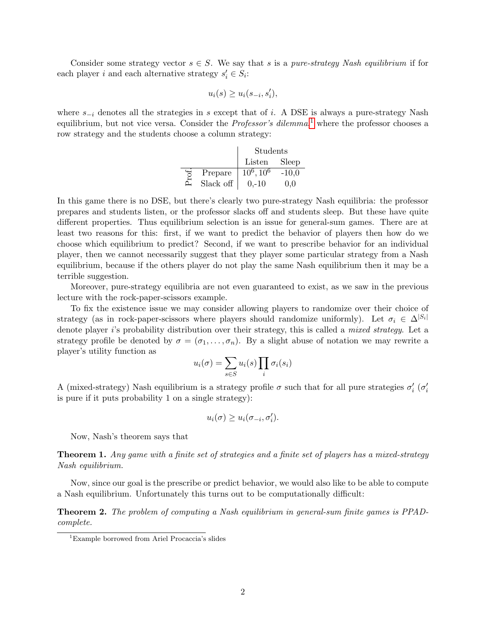Consider some strategy vector  $s \in S$ . We say that s is a pure-strategy Nash equilibrium if for each player i and each alternative strategy  $s_i' \in S_i$ :

$$
u_i(s) \ge u_i(s_{-i}, s'_i),
$$

where  $s_{-i}$  denotes all the strategies in s except that of i. A DSE is always a pure-strategy Nash equilibrium, but not vice versa. Consider the *Professor's dilemma*,<sup>[1](#page-0-0)</sup> where the professor chooses a row strategy and the students choose a column strategy:

|    |           | Students     |         |
|----|-----------|--------------|---------|
|    |           | Listen       | Sleep   |
| J. | Prepare   | $10^6, 10^6$ | $-10,0$ |
| È  | Slack off | $0 - 10$     | 0.0     |

In this game there is no DSE, but there's clearly two pure-strategy Nash equilibria: the professor prepares and students listen, or the professor slacks off and students sleep. But these have quite different properties. Thus equilibrium selection is an issue for general-sum games. There are at least two reasons for this: first, if we want to predict the behavior of players then how do we choose which equilibrium to predict? Second, if we want to prescribe behavior for an individual player, then we cannot necessarily suggest that they player some particular strategy from a Nash equilibrium, because if the others player do not play the same Nash equilibrium then it may be a terrible suggestion.

Moreover, pure-strategy equilibria are not even guaranteed to exist, as we saw in the previous lecture with the rock-paper-scissors example.

To fix the existence issue we may consider allowing players to randomize over their choice of strategy (as in rock-paper-scissors where players should randomize uniformly). Let  $\sigma_i \in \Delta^{|S_i|}$ denote player i's probability distribution over their strategy, this is called a *mixed strategy*. Let a strategy profile be denoted by  $\sigma = (\sigma_1, \ldots, \sigma_n)$ . By a slight abuse of notation we may rewrite a player's utility function as

$$
u_i(\sigma) = \sum_{s \in S} u_i(s) \prod_i \sigma_i(s_i)
$$

A (mixed-strategy) Nash equilibrium is a strategy profile  $\sigma$  such that for all pure strategies  $\sigma'_i$  ( $\sigma'_i$ is pure if it puts probability 1 on a single strategy):

$$
u_i(\sigma) \ge u_i(\sigma_{-i}, \sigma'_i).
$$

Now, Nash's theorem says that

Theorem 1. Any game with a finite set of strategies and a finite set of players has a mixed-strategy Nash equilibrium.

Now, since our goal is the prescribe or predict behavior, we would also like to be able to compute a Nash equilibrium. Unfortunately this turns out to be computationally difficult:

Theorem 2. The problem of computing a Nash equilibrium in general-sum finite games is PPADcomplete.

<sup>1</sup>Example borrowed from Ariel Procaccia's slides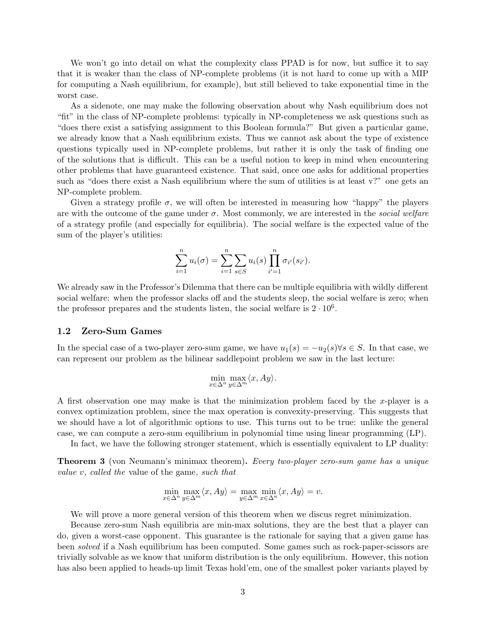We won't go into detail on what the complexity class PPAD is for now, but suffice it to say that it is weaker than the class of NP-complete problems (it is not hard to come up with a MIP for computing a Nash equilibrium, for example), but still believed to take exponential time in the worst case.

As a sidenote, one may make the following observation about why Nash equilibrium does not "fit" in the class of NP-complete problems: typically in NP-completeness we ask questions such as "does there exist a satisfying assignment to this Boolean formula?" But given a particular game, we already know that a Nash equilibrium exists. Thus we cannot ask about the type of existence questions typically used in NP-complete problems, but rather it is only the task of finding one of the solutions that is difficult. This can be a useful notion to keep in mind when encountering other problems that have guaranteed existence. That said, once one asks for additional properties such as "does there exist a Nash equilibrium where the sum of utilities is at least v?" one gets an NP-complete problem.

Given a strategy profile  $\sigma$ , we will often be interested in measuring how "happy" the players are with the outcome of the game under  $\sigma$ . Most commonly, we are interested in the social welfare of a strategy profile (and especially for equilibria). The social welfare is the expected value of the sum of the player's utilities:

$$
\sum_{i=1}^{n} u_i(\sigma) = \sum_{i=1}^{n} \sum_{s \in S} u_i(s) \prod_{i'=1}^{n} \sigma_{i'}(s_{i'}).
$$

We already saw in the Professor's Dilemma that there can be multiple equilibria with wildly different social welfare: when the professor slacks off and the students sleep, the social welfare is zero; when the professor prepares and the students listen, the social welfare is  $2 \cdot 10^6$ .

#### 1.2 Zero-Sum Games

In the special case of a two-player zero-sum game, we have  $u_1(s) = -u_2(s) \forall s \in S$ . In that case, we can represent our problem as the bilinear saddlepoint problem we saw in the last lecture:

$$
\min_{x \in \Delta^n} \max_{y \in \Delta^m} \langle x, Ay \rangle.
$$

A first observation one may make is that the minimization problem faced by the x-player is a convex optimization problem, since the max operation is convexity-preserving. This suggests that we should have a lot of algorithmic options to use. This turns out to be true: unlike the general case, we can compute a zero-sum equilibrium in polynomial time using linear programming (LP).

In fact, we have the following stronger statement, which is essentially equivalent to LP duality:

**Theorem 3** (von Neumann's minimax theorem). Every two-player zero-sum game has a unique value v, called the value of the game, such that

$$
\min_{x \in \Delta^n} \max_{y \in \Delta^m} \langle x, Ay \rangle = \max_{y \in \Delta^m} \min_{x \in \Delta^n} \langle x, Ay \rangle = v.
$$

We will prove a more general version of this theorem when we discus regret minimization.

Because zero-sum Nash equilibria are min-max solutions, they are the best that a player can do, given a worst-case opponent. This guarantee is the rationale for saying that a given game has been solved if a Nash equilibrium has been computed. Some games such as rock-paper-scissors are trivially solvable as we know that uniform distribution is the only equilibrium. However, this notion has also been applied to heads-up limit Texas hold'em, one of the smallest poker variants played by